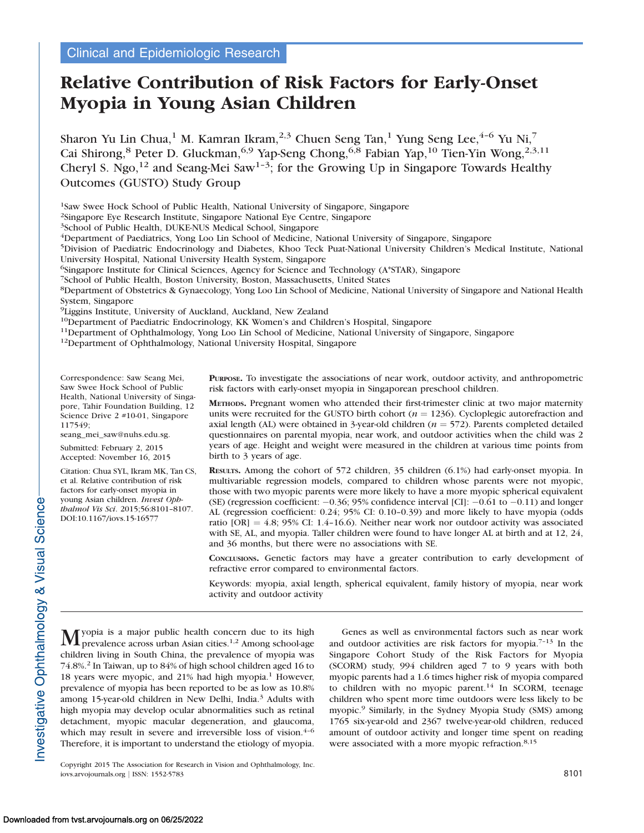# Relative Contribution of Risk Factors for Early-Onset Myopia in Young Asian Children

Sharon Yu Lin Chua,<sup>1</sup> M. Kamran Ikram,<sup>2,3</sup> Chuen Seng Tan,<sup>1</sup> Yung Seng Lee,<sup>4-6</sup> Yu Ni,<sup>7</sup> Cai Shirong,<sup>8</sup> Peter D. Gluckman,<sup>6,9</sup> Yap-Seng Chong,<sup>6,8</sup> Fabian Yap,<sup>10</sup> Tien-Yin Wong,<sup>2,3,11</sup> Cheryl S. Ngo,<sup>12</sup> and Seang-Mei Saw<sup>1-3</sup>; for the Growing Up in Singapore Towards Healthy Outcomes (GUSTO) Study Group

1Saw Swee Hock School of Public Health, National University of Singapore, Singapore

2Singapore Eye Research Institute, Singapore National Eye Centre, Singapore

3School of Public Health, DUKE-NUS Medical School, Singapore

4Department of Paediatrics, Yong Loo Lin School of Medicine, National University of Singapore, Singapore

5Division of Paediatric Endocrinology and Diabetes, Khoo Teck Puat-National University Children's Medical Institute, National University Hospital, National University Health System, Singapore

6Singapore Institute for Clinical Sciences, Agency for Science and Technology (A\*STAR), Singapore

7School of Public Health, Boston University, Boston, Massachusetts, United States

8Department of Obstetrics & Gynaecology, Yong Loo Lin School of Medicine, National University of Singapore and National Health System, Singapore

<sup>9</sup>Liggins Institute, University of Auckland, Auckland, New Zealand<br><sup>10</sup>Department of Paediatric Endocrinology, KK Women's and Children's Hospital, Singapore

<sup>11</sup>Department of Ophthalmology, Yong Loo Lin School of Medicine, National University of Singapore, Singapore<sup>12</sup>Department of Ophthalmology, National University Hospital, Singapore

Correspondence: Saw Seang Mei, Saw Swee Hock School of Public Health, National University of Singapore, Tahir Foundation Building, 12 Science Drive 2 #10-01, Singapore 117549;

seang\_mei\_saw@nuhs.edu.sg.

Submitted: February 2, 2015 Accepted: November 16, 2015

Citation: Chua SYL, Ikram MK, Tan CS, et al. Relative contribution of risk factors for early-onset myopia in young Asian children. Invest Ophthalmol Vis Sci. 2015;56:8101–8107. DOI:10.1167/iovs.15-16577

PURPOSE. To investigate the associations of near work, outdoor activity, and anthropometric risk factors with early-onset myopia in Singaporean preschool children.

METHODS. Pregnant women who attended their first-trimester clinic at two major maternity units were recruited for the GUSTO birth cohort ( $n = 1236$ ). Cycloplegic autorefraction and axial length (AL) were obtained in 3-year-old children ( $n = 572$ ). Parents completed detailed questionnaires on parental myopia, near work, and outdoor activities when the child was 2 years of age. Height and weight were measured in the children at various time points from birth to 3 years of age.

RESULTS. Among the cohort of 572 children, 35 children (6.1%) had early-onset myopia. In multivariable regression models, compared to children whose parents were not myopic, those with two myopic parents were more likely to have a more myopic spherical equivalent (SE) (regression coefficient:  $-0.36$ ; 95% confidence interval [CI]:  $-0.61$  to  $-0.11$ ) and longer AL (regression coefficient: 0.24; 95% CI: 0.10–0.39) and more likely to have myopia (odds ratio  $[OR] = 4.8$ ; 95% CI: 1.4–16.6). Neither near work nor outdoor activity was associated with SE, AL, and myopia. Taller children were found to have longer AL at birth and at 12, 24, and 36 months, but there were no associations with SE.

CONCLUSIONS. Genetic factors may have a greater contribution to early development of refractive error compared to environmental factors.

Keywords: myopia, axial length, spherical equivalent, family history of myopia, near work activity and outdoor activity

 $M$ yopia is a major public health concern due to its high prevalence across urban Asian cities.<sup>1,2</sup> Among school-age children living in South China, the prevalence of myopia was 74.8%.<sup>2</sup> In Taiwan, up to 84% of high school children aged 16 to 18 years were myopic, and 21% had high myopia.<sup>1</sup> However, prevalence of myopia has been reported to be as low as 10.8% among 15-year-old children in New Delhi, India.<sup>3</sup> Adults with high myopia may develop ocular abnormalities such as retinal detachment, myopic macular degeneration, and glaucoma, which may result in severe and irreversible loss of vision. $4-6$ Therefore, it is important to understand the etiology of myopia.

Copyright 2015 The Association for Research in Vision and Ophthalmology, Inc. iovs.arvojournals.org j ISSN: 1552-5783 8101

Genes as well as environmental factors such as near work and outdoor activities are risk factors for myopia.7–13 In the Singapore Cohort Study of the Risk Factors for Myopia (SCORM) study, 994 children aged 7 to 9 years with both myopic parents had a 1.6 times higher risk of myopia compared to children with no myopic parent.<sup>14</sup> In SCORM, teenage children who spent more time outdoors were less likely to be myopic.9 Similarly, in the Sydney Myopia Study (SMS) among 1765 six-year-old and 2367 twelve-year-old children, reduced amount of outdoor activity and longer time spent on reading were associated with a more myopic refraction.<sup>8,15</sup>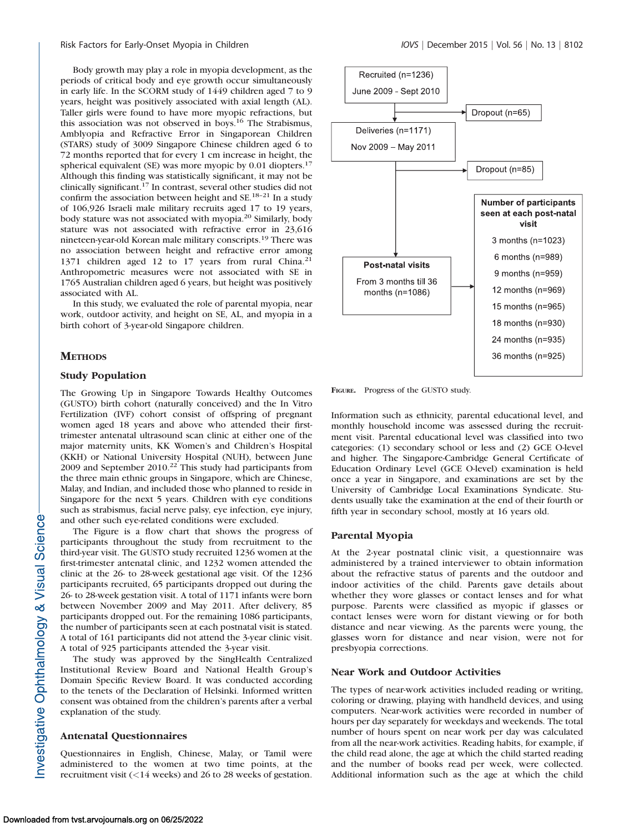Body growth may play a role in myopia development, as the periods of critical body and eye growth occur simultaneously in early life. In the SCORM study of 1449 children aged 7 to 9 years, height was positively associated with axial length (AL). Taller girls were found to have more myopic refractions, but this association was not observed in boys.16 The Strabismus, Amblyopia and Refractive Error in Singaporean Children (STARS) study of 3009 Singapore Chinese children aged 6 to 72 months reported that for every 1 cm increase in height, the spherical equivalent (SE) was more myopic by 0.01 diopters.<sup>17</sup> Although this finding was statistically significant, it may not be clinically significant.<sup>17</sup> In contrast, several other studies did not confirm the association between height and SE.18–21 In a study of 106,926 Israeli male military recruits aged 17 to 19 years, body stature was not associated with myopia.20 Similarly, body stature was not associated with refractive error in 23,616 nineteen-year-old Korean male military conscripts.<sup>19</sup> There was no association between height and refractive error among 1371 children aged 12 to 17 years from rural China.<sup>21</sup> Anthropometric measures were not associated with SE in 1765 Australian children aged 6 years, but height was positively associated with AL.

In this study, we evaluated the role of parental myopia, near work, outdoor activity, and height on SE, AL, and myopia in a birth cohort of 3-year-old Singapore children.

## **METHODS**

## Study Population

The Growing Up in Singapore Towards Healthy Outcomes (GUSTO) birth cohort (naturally conceived) and the In Vitro Fertilization (IVF) cohort consist of offspring of pregnant women aged 18 years and above who attended their firsttrimester antenatal ultrasound scan clinic at either one of the major maternity units, KK Women's and Children's Hospital (KKH) or National University Hospital (NUH), between June 2009 and September 2010.<sup>22</sup> This study had participants from the three main ethnic groups in Singapore, which are Chinese, Malay, and Indian, and included those who planned to reside in Singapore for the next 5 years. Children with eye conditions such as strabismus, facial nerve palsy, eye infection, eye injury, and other such eye-related conditions were excluded.

The Figure is a flow chart that shows the progress of participants throughout the study from recruitment to the third-year visit. The GUSTO study recruited 1236 women at the first-trimester antenatal clinic, and 1232 women attended the clinic at the 26- to 28-week gestational age visit. Of the 1236 participants recruited, 65 participants dropped out during the 26- to 28-week gestation visit. A total of 1171 infants were born between November 2009 and May 2011. After delivery, 85 participants dropped out. For the remaining 1086 participants, the number of participants seen at each postnatal visit is stated. A total of 161 participants did not attend the 3-year clinic visit. A total of 925 participants attended the 3-year visit.

The study was approved by the SingHealth Centralized Institutional Review Board and National Health Group's Domain Specific Review Board. It was conducted according to the tenets of the Declaration of Helsinki. Informed written consent was obtained from the children's parents after a verbal explanation of the study.

## Antenatal Questionnaires

Questionnaires in English, Chinese, Malay, or Tamil were administered to the women at two time points, at the recruitment visit (<14 weeks) and 26 to 28 weeks of gestation.



FIGURE. Progress of the GUSTO study.

Information such as ethnicity, parental educational level, and monthly household income was assessed during the recruitment visit. Parental educational level was classified into two categories: (1) secondary school or less and (2) GCE O-level and higher. The Singapore-Cambridge General Certificate of Education Ordinary Level (GCE O-level) examination is held once a year in Singapore, and examinations are set by the University of Cambridge Local Examinations Syndicate. Students usually take the examination at the end of their fourth or fifth year in secondary school, mostly at 16 years old.

#### Parental Myopia

At the 2-year postnatal clinic visit, a questionnaire was administered by a trained interviewer to obtain information about the refractive status of parents and the outdoor and indoor activities of the child. Parents gave details about whether they wore glasses or contact lenses and for what purpose. Parents were classified as myopic if glasses or contact lenses were worn for distant viewing or for both distance and near viewing. As the parents were young, the glasses worn for distance and near vision, were not for presbyopia corrections.

## Near Work and Outdoor Activities

The types of near-work activities included reading or writing, coloring or drawing, playing with handheld devices, and using computers. Near-work activities were recorded in number of hours per day separately for weekdays and weekends. The total number of hours spent on near work per day was calculated from all the near-work activities. Reading habits, for example, if the child read alone, the age at which the child started reading and the number of books read per week, were collected. Additional information such as the age at which the child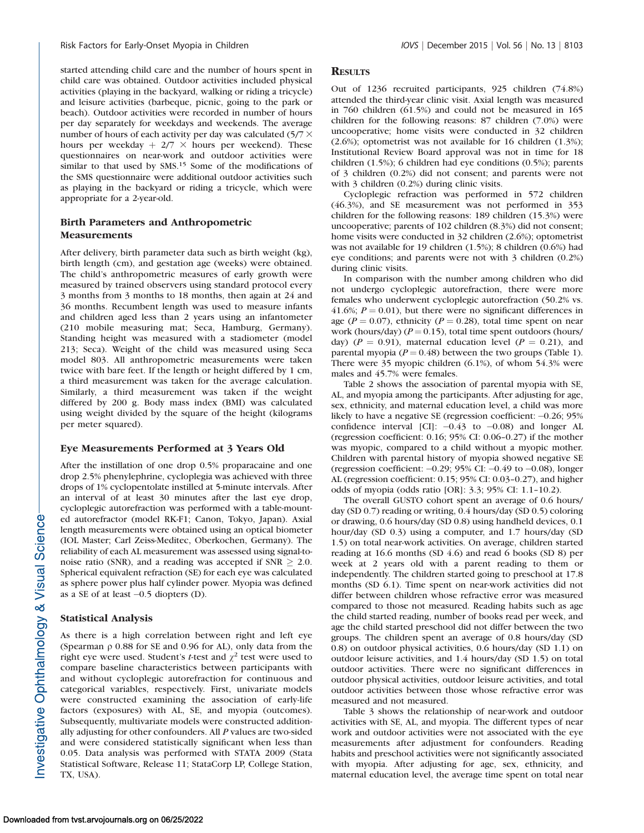started attending child care and the number of hours spent in child care was obtained. Outdoor activities included physical activities (playing in the backyard, walking or riding a tricycle) and leisure activities (barbeque, picnic, going to the park or beach). Outdoor activities were recorded in number of hours per day separately for weekdays and weekends. The average number of hours of each activity per day was calculated  $(5/7 \times$ hours per weekday  $+ 2/7 \times$  hours per weekend). These questionnaires on near-work and outdoor activities were similar to that used by SMS.<sup>15</sup> Some of the modifications of the SMS questionnaire were additional outdoor activities such as playing in the backyard or riding a tricycle, which were appropriate for a 2-year-old.

# Birth Parameters and Anthropometric Measurements

After delivery, birth parameter data such as birth weight (kg), birth length (cm), and gestation age (weeks) were obtained. The child's anthropometric measures of early growth were measured by trained observers using standard protocol every 3 months from 3 months to 18 months, then again at 24 and 36 months. Recumbent length was used to measure infants and children aged less than 2 years using an infantometer (210 mobile measuring mat; Seca, Hamburg, Germany). Standing height was measured with a stadiometer (model 213; Seca). Weight of the child was measured using Seca model 803. All anthropometric measurements were taken twice with bare feet. If the length or height differed by 1 cm, a third measurement was taken for the average calculation. Similarly, a third measurement was taken if the weight differed by 200 g. Body mass index (BMI) was calculated using weight divided by the square of the height (kilograms per meter squared).

#### Eye Measurements Performed at 3 Years Old

After the instillation of one drop 0.5% proparacaine and one drop 2.5% phenylephrine, cycloplegia was achieved with three drops of 1% cyclopentolate instilled at 5-minute intervals. After an interval of at least 30 minutes after the last eye drop, cycloplegic autorefraction was performed with a table-mounted autorefractor (model RK-F1; Canon, Tokyo, Japan). Axial length measurements were obtained using an optical biometer (IOL Master; Carl Zeiss-Meditec, Oberkochen, Germany). The reliability of each AL measurement was assessed using signal-tonoise ratio (SNR), and a reading was accepted if  $SNR \geq 2.0$ . Spherical equivalent refraction (SE) for each eye was calculated as sphere power plus half cylinder power. Myopia was defined as a SE of at least  $-0.5$  diopters (D).

## Statistical Analysis

As there is a high correlation between right and left eye (Spearman  $\rho$  0.88 for SE and 0.96 for AL), only data from the right eye were used. Student's *t*-test and  $\chi^2$  test were used to compare baseline characteristics between participants with and without cycloplegic autorefraction for continuous and categorical variables, respectively. First, univariate models were constructed examining the association of early-life factors (exposures) with AL, SE, and myopia (outcomes). Subsequently, multivariate models were constructed additionally adjusting for other confounders. All P values are two-sided and were considered statistically significant when less than 0.05. Data analysis was performed with STATA 2009 (Stata Statistical Software, Release 11; StataCorp LP, College Station, TX, USA).

#### **RESULTS**

Out of 1236 recruited participants, 925 children (74.8%) attended the third-year clinic visit. Axial length was measured in 760 children (61.5%) and could not be measured in 165 children for the following reasons: 87 children (7.0%) were uncooperative; home visits were conducted in 32 children (2.6%); optometrist was not available for 16 children (1.3%); Institutional Review Board approval was not in time for 18 children (1.5%); 6 children had eye conditions (0.5%); parents of 3 children (0.2%) did not consent; and parents were not with 3 children (0.2%) during clinic visits.

Cycloplegic refraction was performed in 572 children (46.3%), and SE measurement was not performed in 353 children for the following reasons: 189 children (15.3%) were uncooperative; parents of 102 children (8.3%) did not consent; home visits were conducted in 32 children (2.6%); optometrist was not available for 19 children (1.5%); 8 children (0.6%) had eye conditions; and parents were not with 3 children (0.2%) during clinic visits.

In comparison with the number among children who did not undergo cycloplegic autorefraction, there were more females who underwent cycloplegic autorefraction (50.2% vs. 41.6%;  $P = 0.01$ ), but there were no significant differences in age ( $P = 0.07$ ), ethnicity ( $P = 0.28$ ), total time spent on near work (hours/day) ( $P = 0.15$ ), total time spent outdoors (hours/ day) ( $P = 0.91$ ), maternal education level ( $P = 0.21$ ), and parental myopia ( $P = 0.48$ ) between the two groups (Table 1). There were 35 myopic children (6.1%), of whom 54.3% were males and 45.7% were females.

Table 2 shows the association of parental myopia with SE, AL, and myopia among the participants. After adjusting for age, sex, ethnicity, and maternal education level, a child was more likely to have a negative SE (regression coefficient:  $-0.26$ ; 95% confidence interval [CI]:  $-0.43$  to  $-0.08$ ) and longer AL (regression coefficient: 0.16; 95% CI: 0.06–0.27) if the mother was myopic, compared to a child without a myopic mother. Children with parental history of myopia showed negative SE (regression coefficient:  $-0.29$ ; 95% CI:  $-0.49$  to  $-0.08$ ), longer AL (regression coefficient: 0.15; 95% CI: 0.03–0.27), and higher odds of myopia (odds ratio [OR]: 3.3; 95% CI: 1.1–10.2).

The overall GUSTO cohort spent an average of 0.6 hours/ day (SD 0.7) reading or writing, 0.4 hours/day (SD 0.5) coloring or drawing, 0.6 hours/day (SD 0.8) using handheld devices, 0.1 hour/day (SD 0.3) using a computer, and 1.7 hours/day (SD 1.5) on total near-work activities. On average, children started reading at 16.6 months (SD 4.6) and read 6 books (SD 8) per week at 2 years old with a parent reading to them or independently. The children started going to preschool at 17.8 months (SD 6.1). Time spent on near-work activities did not differ between children whose refractive error was measured compared to those not measured. Reading habits such as age the child started reading, number of books read per week, and age the child started preschool did not differ between the two groups. The children spent an average of 0.8 hours/day (SD 0.8) on outdoor physical activities, 0.6 hours/day (SD 1.1) on outdoor leisure activities, and 1.4 hours/day (SD 1.5) on total outdoor activities. There were no significant differences in outdoor physical activities, outdoor leisure activities, and total outdoor activities between those whose refractive error was measured and not measured.

Table 3 shows the relationship of near-work and outdoor activities with SE, AL, and myopia. The different types of near work and outdoor activities were not associated with the eye measurements after adjustment for confounders. Reading habits and preschool activities were not significantly associated with myopia. After adjusting for age, sex, ethnicity, and maternal education level, the average time spent on total near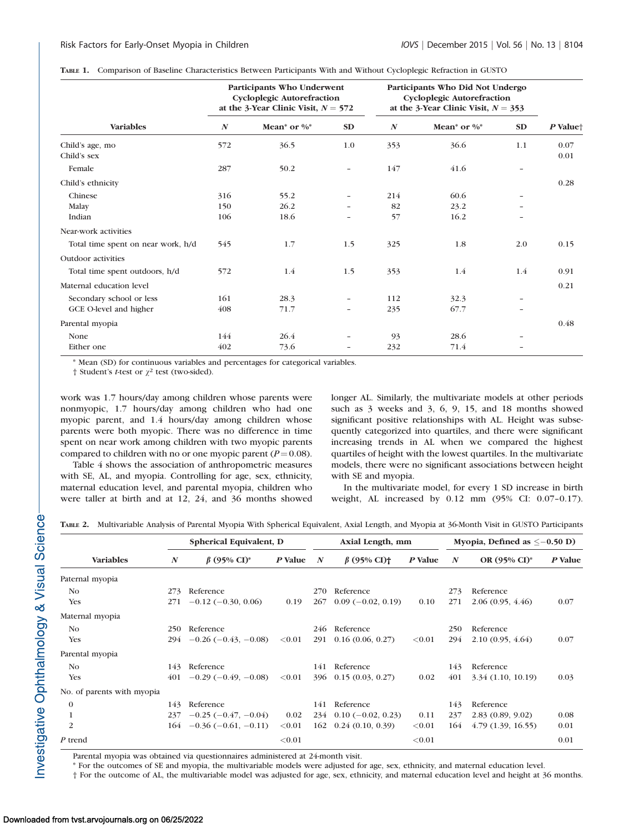|  |  | TABLE 1. Comparison of Baseline Characteristics Between Participants With and Without Cycloplegic Refraction in GUSTO |  |  |  |
|--|--|-----------------------------------------------------------------------------------------------------------------------|--|--|--|
|--|--|-----------------------------------------------------------------------------------------------------------------------|--|--|--|

|                                    |                  | Participants Who Underwent<br><b>Cycloplegic Autorefraction</b><br>at the 3-Year Clinic Visit, $N = 572$ |                          | Participants Who Did Not Undergo<br><b>Cycloplegic Autorefraction</b><br>at the 3-Year Clinic Visit, $N = 353$ |                 |      |                      |
|------------------------------------|------------------|----------------------------------------------------------------------------------------------------------|--------------------------|----------------------------------------------------------------------------------------------------------------|-----------------|------|----------------------|
| <b>Variables</b>                   | $\boldsymbol{N}$ | Mean <sup>*</sup> or $\%$ <sup>*</sup>                                                                   | <b>SD</b>                | $\boldsymbol{N}$                                                                                               | Mean* or $\%^*$ | SD   | P Value <sup>+</sup> |
| Child's age, mo<br>Child's sex     | 572              | 36.5                                                                                                     | 1.0                      | 353                                                                                                            | 36.6            | 1.1  | 0.07<br>0.01         |
| Female                             | 287              | 50.2                                                                                                     | $\overline{\phantom{a}}$ | 147                                                                                                            | 41.6            |      |                      |
| Child's ethnicity                  |                  |                                                                                                          |                          |                                                                                                                |                 | 0.28 |                      |
| Chinese                            | 316              | 55.2                                                                                                     | $\overline{\phantom{0}}$ | 214                                                                                                            | 60.6            |      |                      |
| Malay                              | 150              | 26.2                                                                                                     |                          | 82                                                                                                             | 23.2            |      |                      |
| Indian                             | 106              | 18.6                                                                                                     |                          | 57                                                                                                             | 16.2            |      |                      |
| Near-work activities               |                  |                                                                                                          |                          |                                                                                                                |                 |      |                      |
| Total time spent on near work, h/d | 545              | 1.7                                                                                                      | 1.5                      | 325                                                                                                            | 1.8             | 2.0  | 0.15                 |
| Outdoor activities                 |                  |                                                                                                          |                          |                                                                                                                |                 |      |                      |
| Total time spent outdoors, h/d     | 572              | 1.4                                                                                                      | 1.5                      | 353                                                                                                            | 1.4             | 1.4  | 0.91                 |
| Maternal education level           |                  |                                                                                                          |                          |                                                                                                                |                 |      | 0.21                 |
| Secondary school or less           | 161              | 28.3                                                                                                     | $\overline{\phantom{a}}$ | 112                                                                                                            | 32.3            |      |                      |
| GCE O-level and higher             | 408              | 71.7                                                                                                     | $\overline{\phantom{a}}$ | 235                                                                                                            | 67.7            |      |                      |
| Parental myopia                    |                  |                                                                                                          |                          |                                                                                                                |                 |      | 0.48                 |
| None                               | 144              | 26.4                                                                                                     |                          | 93                                                                                                             | 28.6            |      |                      |
| Either one                         | 402              | 73.6                                                                                                     |                          | 232                                                                                                            | 71.4            |      |                      |

\* Mean (SD) for continuous variables and percentages for categorical variables.

† Student's t-test or  $\gamma^2$  test (two-sided).

work was 1.7 hours/day among children whose parents were nonmyopic, 1.7 hours/day among children who had one myopic parent, and 1.4 hours/day among children whose parents were both myopic. There was no difference in time spent on near work among children with two myopic parents compared to children with no or one myopic parent ( $P = 0.08$ ).

Table 4 shows the association of anthropometric measures with SE, AL, and myopia. Controlling for age, sex, ethnicity, maternal education level, and parental myopia, children who were taller at birth and at 12, 24, and 36 months showed longer AL. Similarly, the multivariate models at other periods such as 3 weeks and 3, 6, 9, 15, and 18 months showed significant positive relationships with AL. Height was subsequently categorized into quartiles, and there were significant increasing trends in AL when we compared the highest quartiles of height with the lowest quartiles. In the multivariate models, there were no significant associations between height with SE and myopia.

In the multivariate model, for every 1 SD increase in birth weight, AL increased by 0.12 mm (95% CI: 0.07–0.17).

TABLE 2. Multivariable Analysis of Parental Myopia With Spherical Equivalent, Axial Length, and Myopia at 36-Month Visit in GUSTO Participants

|                            |                  | Spherical Equivalent, D       | Axial Length, mm |                  |                               |          | Myopia, Defined as $\leq -0.50$ D) |                   |         |
|----------------------------|------------------|-------------------------------|------------------|------------------|-------------------------------|----------|------------------------------------|-------------------|---------|
| <b>Variables</b>           | $\boldsymbol{N}$ | $\beta$ (95% CI) <sup>*</sup> | P Value          | $\boldsymbol{N}$ | $\beta$ (95% CI) <sup>+</sup> | P Value  | $\boldsymbol{N}$                   | OR (95% CI)*      | P Value |
| Paternal myopia            |                  |                               |                  |                  |                               |          |                                    |                   |         |
| N <sub>o</sub>             | 273              | Reference                     |                  | 270              | Reference                     |          | 273                                | Reference         |         |
| <b>Yes</b>                 | 271              | $-0.12$ ( $-0.30$ , 0.06)     | 0.19             | 267              | $0.09(-0.02, 0.19)$           | 0.10     | 271                                | 2.06(0.95, 4.46)  | 0.07    |
| Maternal myopia            |                  |                               |                  |                  |                               |          |                                    |                   |         |
| N <sub>o</sub>             | 250              | Reference                     |                  | 246              | Reference                     |          | 250                                | Reference         |         |
| <b>Yes</b>                 | 294              | $-0.26$ ( $-0.43$ , $-0.08$ ) | $<$ 0.01         | 291              | 0.16(0.06, 0.27)              | $<$ 0.01 | 294                                | 2.10(0.95, 4.64)  | 0.07    |
| Parental myopia            |                  |                               |                  |                  |                               |          |                                    |                   |         |
| No                         | 143              | Reference                     |                  | 141              | Reference                     |          | 143                                | Reference         |         |
| <b>Yes</b>                 | 401              | $-0.29(-0.49,-0.08)$          | ${<}0.01$        | 396              | 0.15(0.03, 0.27)              | 0.02     | 401                                | 3.34(1.10, 10.19) | 0.03    |
| No. of parents with myopia |                  |                               |                  |                  |                               |          |                                    |                   |         |
| $\theta$                   | 143              | Reference                     |                  | 141              | Reference                     |          | 143                                | Reference         |         |
|                            | 237              | $-0.25$ ( $-0.47, -0.04$ )    | 0.02             |                  | $234$ 0.10 (-0.02, 0.23)      | 0.11     | 237                                | 2.83(0.89, 9.02)  | 0.08    |
| 2                          |                  | $164 - 0.36(-0.61, -0.11)$    | $<$ 0.01         | 162              | 0.24(0.10, 0.39)              | < 0.01   | 164                                | 4.79(1.39, 16.55) | 0.01    |
| $P$ trend                  |                  |                               | < 0.01           |                  |                               | < 0.01   |                                    |                   | 0.01    |

Parental myopia was obtained via questionnaires administered at 24-month visit.

\* For the outcomes of SE and myopia, the multivariable models were adjusted for age, sex, ethnicity, and maternal education level.

† For the outcome of AL, the multivariable model was adjusted for age, sex, ethnicity, and maternal education level and height at 36 months.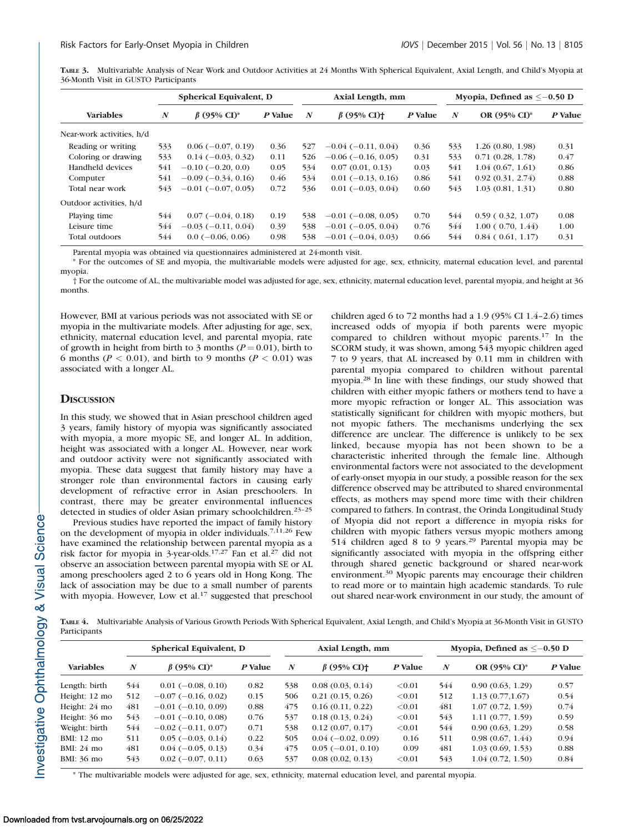TABLE 3. Multivariable Analysis of Near Work and Outdoor Activities at 24 Months With Spherical Equivalent, Axial Length, and Child's Myopia at 36-Month Visit in GUSTO Participants

|                           | Spherical Equivalent, D |                               |         |                  | Axial Length, mm              |         | Myopia, Defined as $\leq -0.50$ D |                          |         |
|---------------------------|-------------------------|-------------------------------|---------|------------------|-------------------------------|---------|-----------------------------------|--------------------------|---------|
| <b>Variables</b>          | $\boldsymbol{N}$        | $\beta$ (95% CI) <sup>*</sup> | P Value | $\boldsymbol{N}$ | $\beta$ (95% CI) <sup>+</sup> | P Value | $\boldsymbol{N}$                  | OR $(95\% \text{ CI})^*$ | P Value |
| Near-work activities, h/d |                         |                               |         |                  |                               |         |                                   |                          |         |
| Reading or writing        | 533                     | $0.06(-0.07, 0.19)$           | 0.36    | 527              | $-0.04$ ( $-0.11$ , 0.04)     | 0.36    | 533                               | 1.26(0.80, 1.98)         | 0.31    |
| Coloring or drawing       | 533                     | $0.14(-0.03, 0.32)$           | 0.11    | 526              | $-0.06$ ( $-0.16$ , 0.05)     | 0.31    | 533                               | 0.71(0.28, 1.78)         | 0.47    |
| Handheld devices          | 541                     | $-0.10$ ( $-0.20$ , 0.0)      | 0.05    | 534              | 0.07(0.01, 0.13)              | 0.03    | 541                               | 1.04(0.67, 1.61)         | 0.86    |
| Computer                  | 541                     | $-0.09(-0.34, 0.16)$          | 0.46    | 534              | $0.01(-0.13, 0.16)$           | 0.86    | 541                               | 0.92(0.31, 2.74)         | 0.88    |
| Total near work           | 543                     | $-0.01$ ( $-0.07$ , 0.05)     | 0.72    | 536              | $0.01(-0.03, 0.04)$           | 0.60    | 543                               | 1.03(0.81, 1.31)         | 0.80    |
| Outdoor activities, h/d   |                         |                               |         |                  |                               |         |                                   |                          |         |
| Playing time              | 544                     | $0.07(-0.04, 0.18)$           | 0.19    | 538              | $-0.01$ ( $-0.08$ , 0.05)     | 0.70    | 544                               | 0.59(0.32, 1.07)         | 0.08    |
| Leisure time              | 544                     | $-0.03(-0.11, 0.04)$          | 0.39    | 538              | $-0.01$ ( $-0.05$ , 0.04)     | 0.76    | 544                               | 1.00(0.70, 1.44)         | 1.00    |
| Total outdoors            | 544                     | $0.0(-0.06, 0.06)$            | 0.98    | 538              | $-0.01$ $(-0.04, 0.03)$       | 0.66    | 544                               | $0.84$ ( $0.61$ , 1.17)  | 0.31    |

Parental myopia was obtained via questionnaires administered at 24-month visit.

\* For the outcomes of SE and myopia, the multivariable models were adjusted for age, sex, ethnicity, maternal education level, and parental myopia.

† For the outcome of AL, the multivariable model was adjusted for age, sex, ethnicity, maternal education level, parental myopia, and height at 36 months.

However, BMI at various periods was not associated with SE or myopia in the multivariate models. After adjusting for age, sex, ethnicity, maternal education level, and parental myopia, rate of growth in height from birth to 3 months ( $P = 0.01$ ), birth to 6 months ( $P < 0.01$ ), and birth to 9 months ( $P < 0.01$ ) was associated with a longer AL.

#### **DISCUSSION**

In this study, we showed that in Asian preschool children aged 3 years, family history of myopia was significantly associated with myopia, a more myopic SE, and longer AL. In addition, height was associated with a longer AL. However, near work and outdoor activity were not significantly associated with myopia. These data suggest that family history may have a stronger role than environmental factors in causing early development of refractive error in Asian preschoolers. In contrast, there may be greater environmental influences detected in studies of older Asian primary schoolchildren.<sup>23-25</sup>

Previous studies have reported the impact of family history on the development of myopia in older individuals.<sup>7,11,26</sup> Few have examined the relationship between parental myopia as a risk factor for myopia in 3-year-olds.<sup>17,27</sup> Fan et al.<sup>27</sup> did not observe an association between parental myopia with SE or AL among preschoolers aged 2 to 6 years old in Hong Kong. The lack of association may be due to a small number of parents with myopia. However, Low et al.<sup>17</sup> suggested that preschool children aged 6 to 72 months had a 1.9 (95% CI 1.4–2.6) times increased odds of myopia if both parents were myopic compared to children without myopic parents.<sup>17</sup> In the SCORM study, it was shown, among 543 myopic children aged 7 to 9 years, that AL increased by 0.11 mm in children with parental myopia compared to children without parental myopia.28 In line with these findings, our study showed that children with either myopic fathers or mothers tend to have a more myopic refraction or longer AL. This association was statistically significant for children with myopic mothers, but not myopic fathers. The mechanisms underlying the sex difference are unclear. The difference is unlikely to be sex linked, because myopia has not been shown to be a characteristic inherited through the female line. Although environmental factors were not associated to the development of early-onset myopia in our study, a possible reason for the sex difference observed may be attributed to shared environmental effects, as mothers may spend more time with their children compared to fathers. In contrast, the Orinda Longitudinal Study of Myopia did not report a difference in myopia risks for children with myopic fathers versus myopic mothers among 514 children aged 8 to 9 years.<sup>29</sup> Parental myopia may be significantly associated with myopia in the offspring either through shared genetic background or shared near-work environment.<sup>30</sup> Myopic parents may encourage their children to read more or to maintain high academic standards. To rule out shared near-work environment in our study, the amount of

TABLE 4. Multivariable Analysis of Various Growth Periods With Spherical Equivalent, Axial Length, and Child's Myopia at 36-Month Visit in GUSTO Participants

|                      |     | Spherical Equivalent, D       |         |                  | Axial Length, mm              |         | Myopia, Defined as $\leq -0.50$ D |                  |         |
|----------------------|-----|-------------------------------|---------|------------------|-------------------------------|---------|-----------------------------------|------------------|---------|
| <b>Variables</b>     | N   | $\beta$ (95% CI) <sup>*</sup> | P Value | $\boldsymbol{N}$ | $\beta$ (95% CI) <sup>+</sup> | P Value | $\boldsymbol{N}$                  | OR (95% CI)*     | P Value |
| Length: birth        | 544 | $0.01$ (-0.08, 0.10)          | 0.82    | 538              | 0.08(0.03, 0.14)              | < 0.01  | 544                               | 0.90(0.63, 1.29) | 0.57    |
| Height: 12 mo        | 512 | $-0.07$ ( $-0.16$ , 0.02)     | 0.15    | 506              | 0.21(0.15, 0.26)              | < 0.01  | 512                               | 1.13(0.77, 1.67) | 0.54    |
| Height: 24 mo        | 481 | $-0.01$ $(-0.10, 0.09)$       | 0.88    | 475              | 0.16(0.11, 0.22)              | < 0.01  | 481                               | 1.07(0.72, 1.59) | 0.74    |
| Height: 36 mo        | 543 | $-0.01$ ( $-0.10$ , 0.08)     | 0.76    | 537              | 0.18(0.13, 0.24)              | < 0.01  | 543                               | 1.11(0.77, 1.59) | 0.59    |
| Weight: birth        | 544 | $-0.02$ ( $-0.11, 0.07$ )     | 0.71    | 538              | 0.12(0.07, 0.17)              | < 0.01  | 544                               | 0.90(0.63, 1.29) | 0.58    |
| $BMI: 12 \text{ mo}$ | 511 | $0.05(-0.03, 0.14)$           | 0.22    | 505              | $0.04(-0.02, 0.09)$           | 0.16    | 511                               | 0.98(0.67, 1.44) | 0.94    |
| $BMI: 24 \text{ mo}$ | 481 | $0.04(-0.05, 0.13)$           | 0.34    | 475              | $0.05(-0.01, 0.10)$           | 0.09    | 481                               | 1.03(0.69, 1.53) | 0.88    |
| BMI: 36 mo           | 543 | $0.02(-0.07, 0.11)$           | 0.63    | 537              | 0.08(0.02, 0.13)              | < 0.01  | 543                               | 1.04(0.72, 1.50) | 0.84    |

\* The multivariable models were adjusted for age, sex, ethnicity, maternal education level, and parental myopia.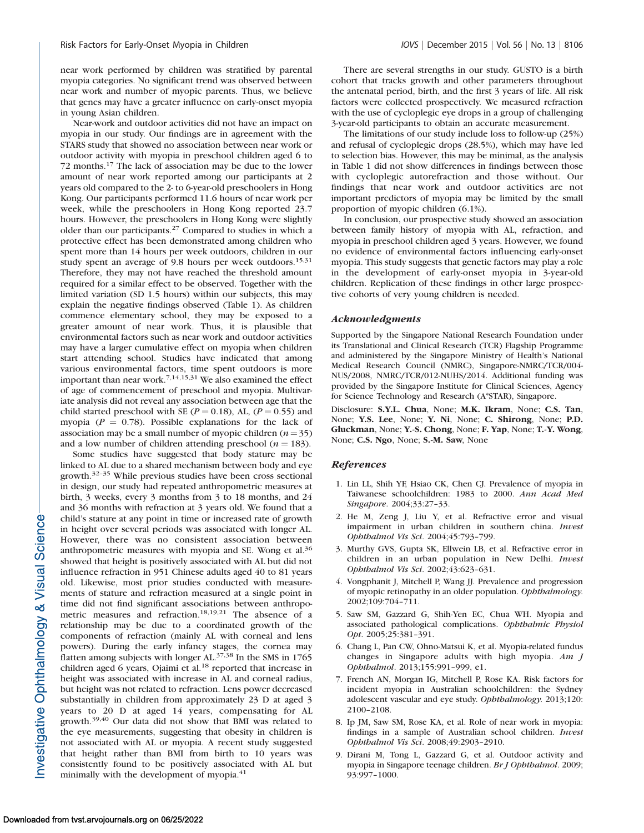near work performed by children was stratified by parental myopia categories. No significant trend was observed between near work and number of myopic parents. Thus, we believe that genes may have a greater influence on early-onset myopia in young Asian children.

Near-work and outdoor activities did not have an impact on myopia in our study. Our findings are in agreement with the STARS study that showed no association between near work or outdoor activity with myopia in preschool children aged 6 to 72 months.<sup>17</sup> The lack of association may be due to the lower amount of near work reported among our participants at 2 years old compared to the 2- to 6-year-old preschoolers in Hong Kong. Our participants performed 11.6 hours of near work per week, while the preschoolers in Hong Kong reported 23.7 hours. However, the preschoolers in Hong Kong were slightly older than our participants.<sup>27</sup> Compared to studies in which a protective effect has been demonstrated among children who spent more than 14 hours per week outdoors, children in our study spent an average of 9.8 hours per week outdoors.<sup>15,31</sup> Therefore, they may not have reached the threshold amount required for a similar effect to be observed. Together with the limited variation (SD 1.5 hours) within our subjects, this may explain the negative findings observed (Table 1). As children commence elementary school, they may be exposed to a greater amount of near work. Thus, it is plausible that environmental factors such as near work and outdoor activities may have a larger cumulative effect on myopia when children start attending school. Studies have indicated that among various environmental factors, time spent outdoors is more important than near work.7,14,15,31 We also examined the effect of age of commencement of preschool and myopia. Multivariate analysis did not reveal any association between age that the child started preschool with SE ( $P = 0.18$ ), AL, ( $P = 0.55$ ) and myopia ( $P = 0.78$ ). Possible explanations for the lack of association may be a small number of myopic children  $(n = 35)$ and a low number of children attending preschool ( $n = 183$ ).

Some studies have suggested that body stature may be linked to AL due to a shared mechanism between body and eye growth.32–35 While previous studies have been cross sectional in design, our study had repeated anthropometric measures at birth, 3 weeks, every 3 months from 3 to 18 months, and 24 and 36 months with refraction at 3 years old. We found that a child's stature at any point in time or increased rate of growth in height over several periods was associated with longer AL. However, there was no consistent association between anthropometric measures with myopia and SE. Wong et al.<sup>36</sup> showed that height is positively associated with AL but did not influence refraction in 951 Chinese adults aged 40 to 81 years old. Likewise, most prior studies conducted with measurements of stature and refraction measured at a single point in time did not find significant associations between anthropometric measures and refraction.18,19,21 The absence of a relationship may be due to a coordinated growth of the components of refraction (mainly AL with corneal and lens powers). During the early infancy stages, the cornea may flatten among subjects with longer AL.37,38 In the SMS in 1765 children aged 6 years, Ojaimi et al.<sup>18</sup> reported that increase in height was associated with increase in AL and corneal radius, but height was not related to refraction. Lens power decreased substantially in children from approximately 23 D at aged 3 years to 20 D at aged 14 years, compensating for AL growth.39,40 Our data did not show that BMI was related to the eye measurements, suggesting that obesity in children is not associated with AL or myopia. A recent study suggested that height rather than BMI from birth to 10 years was consistently found to be positively associated with AL but minimally with the development of myopia.<sup>41</sup>

There are several strengths in our study. GUSTO is a birth cohort that tracks growth and other parameters throughout the antenatal period, birth, and the first 3 years of life. All risk factors were collected prospectively. We measured refraction with the use of cycloplegic eye drops in a group of challenging 3-year-old participants to obtain an accurate measurement.

The limitations of our study include loss to follow-up (25%) and refusal of cycloplegic drops (28.5%), which may have led to selection bias. However, this may be minimal, as the analysis in Table 1 did not show differences in findings between those with cycloplegic autorefraction and those without. Our findings that near work and outdoor activities are not important predictors of myopia may be limited by the small proportion of myopic children (6.1%).

In conclusion, our prospective study showed an association between family history of myopia with AL, refraction, and myopia in preschool children aged 3 years. However, we found no evidence of environmental factors influencing early-onset myopia. This study suggests that genetic factors may play a role in the development of early-onset myopia in 3-year-old children. Replication of these findings in other large prospective cohorts of very young children is needed.

#### Acknowledgments

Supported by the Singapore National Research Foundation under its Translational and Clinical Research (TCR) Flagship Programme and administered by the Singapore Ministry of Health's National Medical Research Council (NMRC), Singapore-NMRC/TCR/004- NUS/2008, NMRC/TCR/012-NUHS/2014. Additional funding was provided by the Singapore Institute for Clinical Sciences, Agency for Science Technology and Research (A\*STAR), Singapore.

Disclosure: S.Y.L. Chua, None; M.K. Ikram, None; C.S. Tan, None; Y.S. Lee, None; Y. Ni, None; C. Shirong, None; P.D. Gluckman, None; Y.-S. Chong, None; F. Yap, None; T.-Y. Wong, None; C.S. Ngo, None; S.-M. Saw, None

#### References

- 1. Lin LL, Shih YF, Hsiao CK, Chen CJ. Prevalence of myopia in Taiwanese schoolchildren: 1983 to 2000. Ann Acad Med Singapore. 2004;33:27–33.
- 2. He M, Zeng J, Liu Y, et al. Refractive error and visual impairment in urban children in southern china. Invest Ophthalmol Vis Sci. 2004;45:793–799.
- 3. Murthy GVS, Gupta SK, Ellwein LB, et al. Refractive error in children in an urban population in New Delhi. Invest Ophthalmol Vis Sci. 2002;43:623–631.
- 4. Vongphanit J, Mitchell P, Wang JJ. Prevalence and progression of myopic retinopathy in an older population. Ophthalmology. 2002;109:704–711.
- 5. Saw SM, Gazzard G, Shih-Yen EC, Chua WH. Myopia and associated pathological complications. Ophthalmic Physiol Opt. 2005;25:381–391.
- 6. Chang L, Pan CW, Ohno-Matsui K, et al. Myopia-related fundus changes in Singapore adults with high myopia.  $Am \, J$ Ophthalmol. 2013;155:991–999, e1.
- 7. French AN, Morgan IG, Mitchell P, Rose KA. Risk factors for incident myopia in Australian schoolchildren: the Sydney adolescent vascular and eye study. Ophthalmology. 2013;120: 2100–2108.
- 8. Ip JM, Saw SM, Rose KA, et al. Role of near work in myopia: findings in a sample of Australian school children. Invest Ophthalmol Vis Sci. 2008;49:2903–2910.
- 9. Dirani M, Tong L, Gazzard G, et al. Outdoor activity and myopia in Singapore teenage children. Br J Ophthalmol. 2009; 93:997–1000.